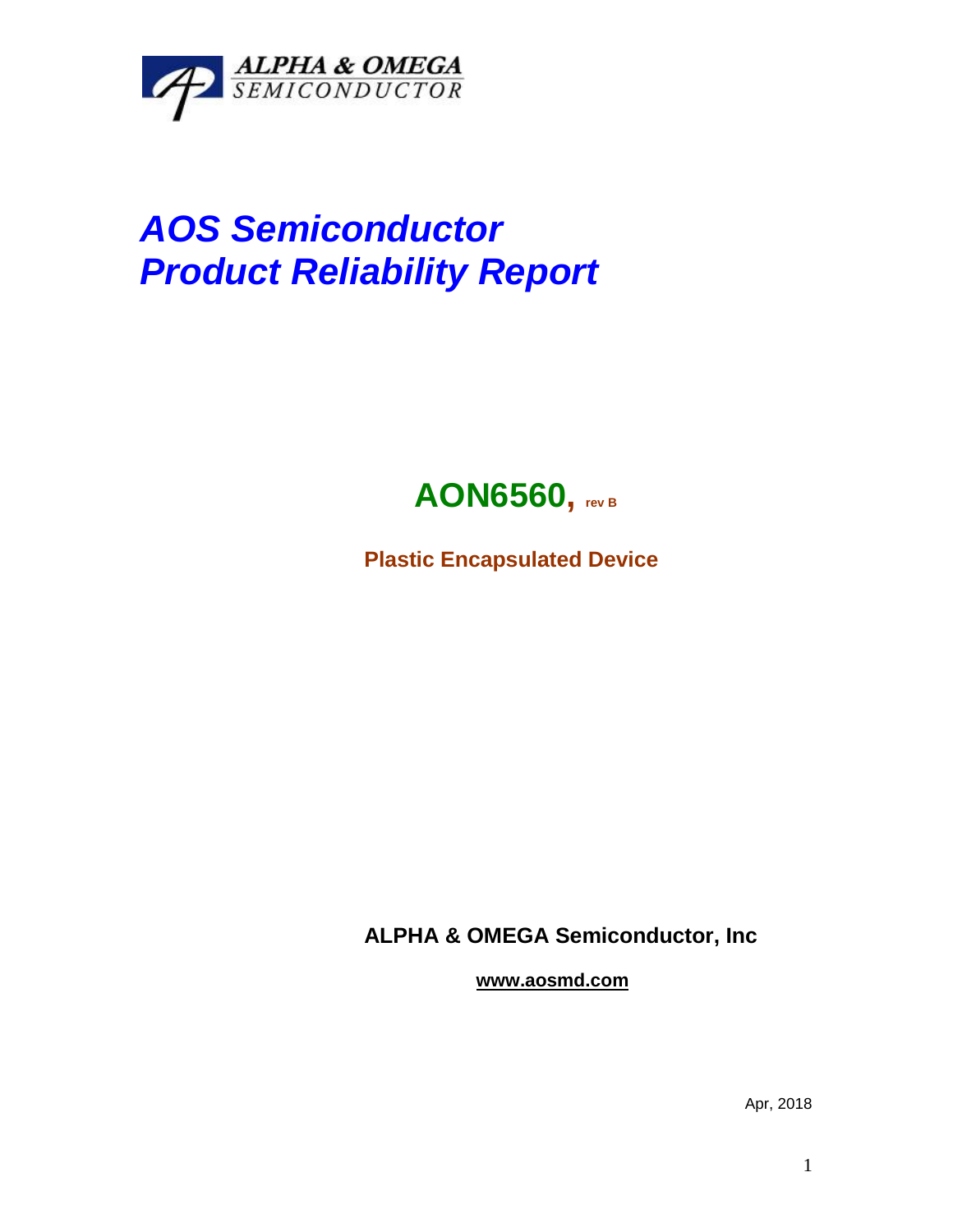

## *AOS Semiconductor Product Reliability Report*



**Plastic Encapsulated Device**

**ALPHA & OMEGA Semiconductor, Inc**

**www.aosmd.com**

Apr, 2018